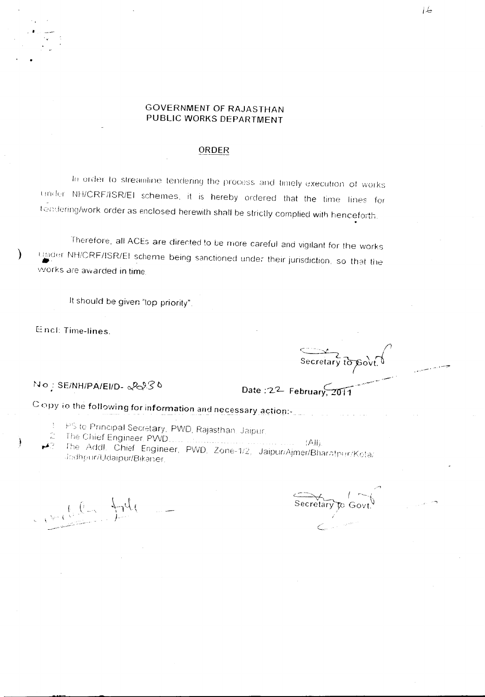## **GOVERNMENT OF RAJASTHAN** PUBLIC WORKS DEPARTMENT

## ORDER

In order to streamline tendering the process and timely execution of works under NH/CRF/ISR/EI schemes, it is hereby ordered that the time lines for tendering/work order as enclosed herewith shall be strictly complied with henceforth.

Therefore, all ACEs are directed to be more careful and vigilant for the works under NH/CRF/ISR/El scheme being sanctioned under their jurisdiction, so that the works are awarded in time

It should be given "top priority"

Encl: Time-lines.

Ì

NO: SE/NH/PA/EI/D-2230

Secretary to pour

Date:  $2^2$  February,  $2011$ 

Copy to the following for information and necessary action:-

- PS to Principal Secretary, PWD, Rajasthan, Jaipur,
- $(A)$ Addl. Chief Engineer, PWD, Zone-1/2, Jaipur/Ajmer/Bharatpur/Kota/ Jodhpur/Udaipur/Bikaner.

 $-194$ 

Secretary to Govt.